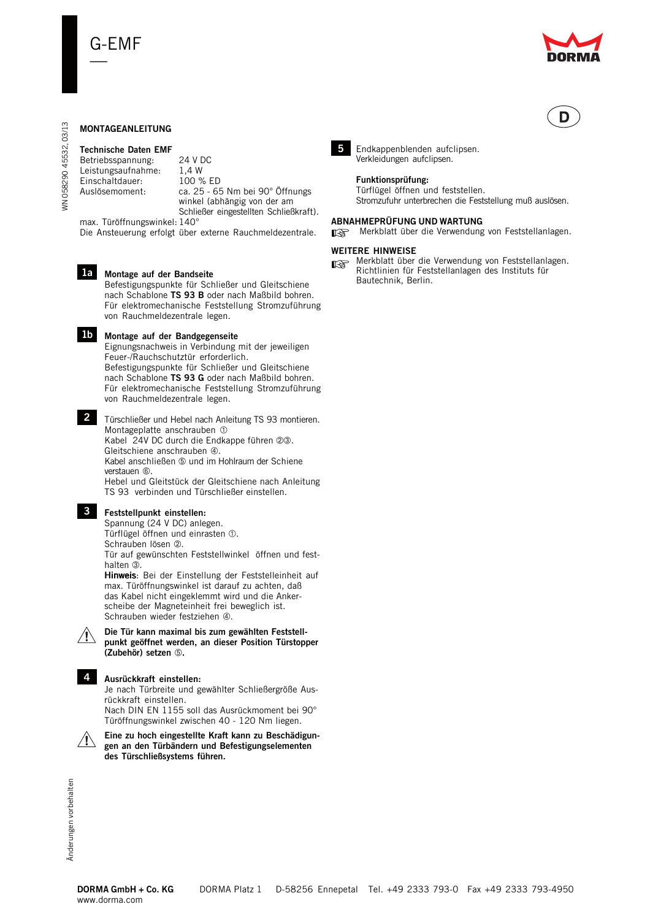



# **MONTAGEANLEITUNG**

# **Technische Daten EMF**

Betriebsspannung: 24 V DC Leistungsaufnahme: 1,4 W<br>Einschaltdauer: 100 % ED Einschaltdauer:<br>Auslösemoment: ca. 25 - 65 Nm bei 90° Öffnungs winkel (abhängig von der am Schließer eingestellten Schließkraft).

max. Türöffnungswinkel: 140° Die Ansteuerung erfolgt über externe Rauchmeldezentrale.



# **Montage auf der Bandseite**

Befestigungspunkte für Schließer und Gleitschiene nach Schablone **TS 93 B** oder nach Maßbild bohren. Für elektromechanische Feststellung Stromzuführung von Rauchmeldezentrale legen.



Eignungsnachweis in Verbindung mit der jeweiligen Feuer-/Rauchschutztür erforderlich. Befestigungspunkte für Schließer und Gleitschiene nach Schablone **TS 93 G** oder nach Maßbild bohren. Für elektromechanische Feststellung Stromzuführung von Rauchmeldezentrale legen.

Türschließer und Hebel nach Anleitung TS 93 montieren. **2** Montageplatte anschrauben Kabel 24V DC durch die Endkappe führen 23. Gleitschiene anschrauben 4. Kabel anschließen ® und im Hohlraum der Schiene verstauen 6 Hebel und Gleitstück der Gleitschiene nach Anleitung TS 93 verbinden und Türschließer einstellen.

# **Feststellpunkt einstellen: 3**

Spannung (24 V DC) anlegen. Türflügel öffnen und einrasten 1. Schrauben lösen 2 Tür auf gewünschten Feststellwinkel öffnen und fest-

halten 3. Hinweis: Bei der Einstellung der Feststelleinheit auf max. Türöffnungswinkel ist darauf zu achten, daß das Kabel nicht eingeklemmt wird und die Anker-

scheibe der Magneteinheit frei beweglich ist. Schrauben wieder festziehen 4. **Die Tür kann maximal bis zum gewählten Feststell-**



**4**

**(Zubehör) setzen .**

**Ausrückkraft einstellen:** Je nach Türbreite und gewählter Schließergröße Ausrückkraft einstellen.

**punkt geöffnet werden, an dieser Position Türstopper**

Nach DIN EN 1155 soll das Ausrückmoment bei 90° Türöffnungswinkel zwischen 40 - 120 Nm liegen.

**Eine zu hoch eingestellte Kraft kann zu Beschädigungen an den Türbändern und Befestigungselementen des Türschließsystems führen.**



03/13 WN 058290 45532, 03/13 45532, **WN 058290** 



Endkappenblenden aufclipsen. Verkleidungen aufclipsen.

#### **Funktionsprüfung:**

Türflügel öffnen und feststellen. Stromzufuhr unterbrechen die Feststellung muß auslösen.

### **ABNAHMEPRÜFUNG UND WARTUNG**

☞ Merkblatt über die Verwendung von Feststellanlagen.

#### **WEITERE HINWEISE**

**5**

■ Merkblatt über die Verwendung von Feststellanlagen.<br>■ Richtlinien für Feststellanlagen des Instituts für Richtlinien für Feststellanlagen des Instituts für Bautechnik, Berlin.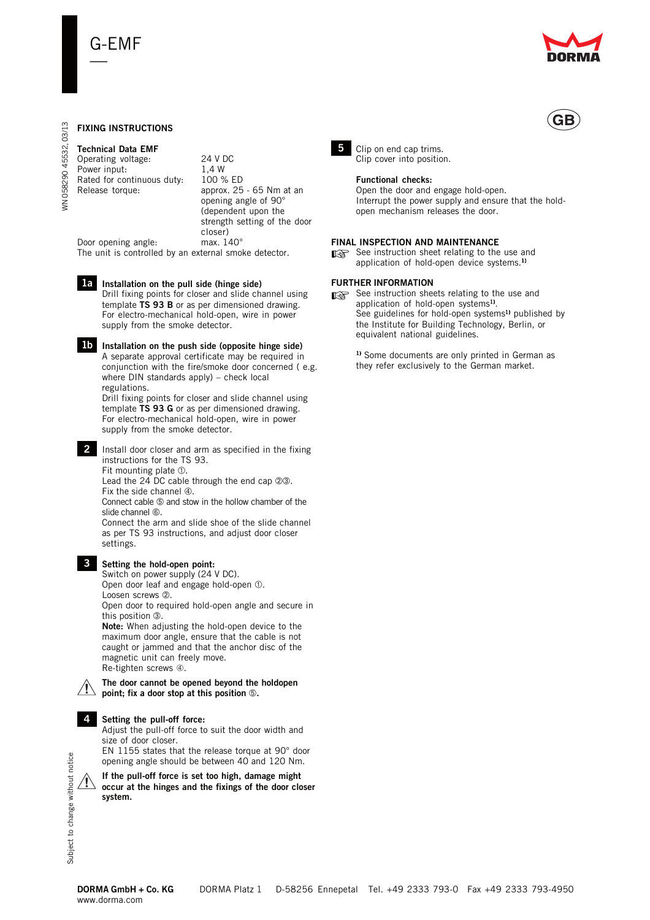

# **FIXING INSTRUCTIONS**

### **Technical Data EMF**

Operating voltage: 24 V DC<br>Power input: 1.4 W Power input: Rated for continuous duty: 100 % ED Release torque: approx. 25 - 65 Nm at an

opening angle of 90° (dependent upon the strength setting of the door closer)<br>max. 140°

Door opening angle: The unit is controlled by an external smoke detector.

# **1a** Installation on the pull side (hinge side)

Drill fixing points for closer and slide channel using template **TS 93 B** or as per dimensioned drawing. For electro-mechanical hold-open, wire in power supply from the smoke detector.

**Ib** Installation on the push side (opposite hinge side) A separate approval certificate may be required in conjunction with the fire/smoke door concerned ( e.g. where DIN standards apply) – check local regulations.

Drill fixing points for closer and slide channel using template **TS 93 G** or as per dimensioned drawing. For electro-mechanical hold-open, wire in power supply from the smoke detector.

2 Install door closer and arm as specified in the fixing instructions for the TS 93.

Fit mounting plate  $\mathbb O$ . Lead the 24 DC cable through the end cap 23. Fix the side channel  $\Phi$ .

Connect cable 5 and stow in the hollow chamber of the slide channel  $@.$ 

Connect the arm and slide shoe of the slide channel as per TS 93 instructions, and adjust door closer settings.



# **Setting the hold-open point: 3**

Switch on power supply (24 V DC). Open door leaf and engage hold-open  $\odot$ . Loosen screws 2. Open door to required hold-open angle and secure in this position 3.

**Note:** When adjusting the hold-open device to the maximum door angle, ensure that the cable is not caught or jammed and that the anchor disc of the magnetic unit can freely move. Re-tighten screws ➃.

#### **The door cannot be opened beyond the holdopen point; fix a door stop at this position .**

# **Setting the pull-off force: 4**

Adjust the pull-off force to suit the door width and size of door closer.

EN 1155 states that the release torque at 90° door opening angle should be between 40 and 120 Nm.

**If the pull-off force is set too high, damage might occur at the hinges and the fixings of the door closer system.**



**5** Clip on end cap trims. Clip cover into position.

#### **Functional checks:**

Open the door and engage hold-open. Interrupt the power supply and ensure that the holdopen mechanism releases the door.

#### **FINAL INSPECTION AND MAINTENANCE**

 $\Box$  See instruction sheet relating to the use and<br>application of hold-onen device systems  $\Box$ application of hold-open device systems.1)

### **FURTHER INFORMATION**

See instruction sheets relating to the use and<br>annication of hold-open systems<sup>1)</sup> application of hold-open systems<sup>1)</sup>. See guidelines for hold-open systems<sup>1)</sup> published by the Institute for Building Technology, Berlin, or equivalent national guidelines.

1) Some documents are only printed in German as they refer exclusively to the German market.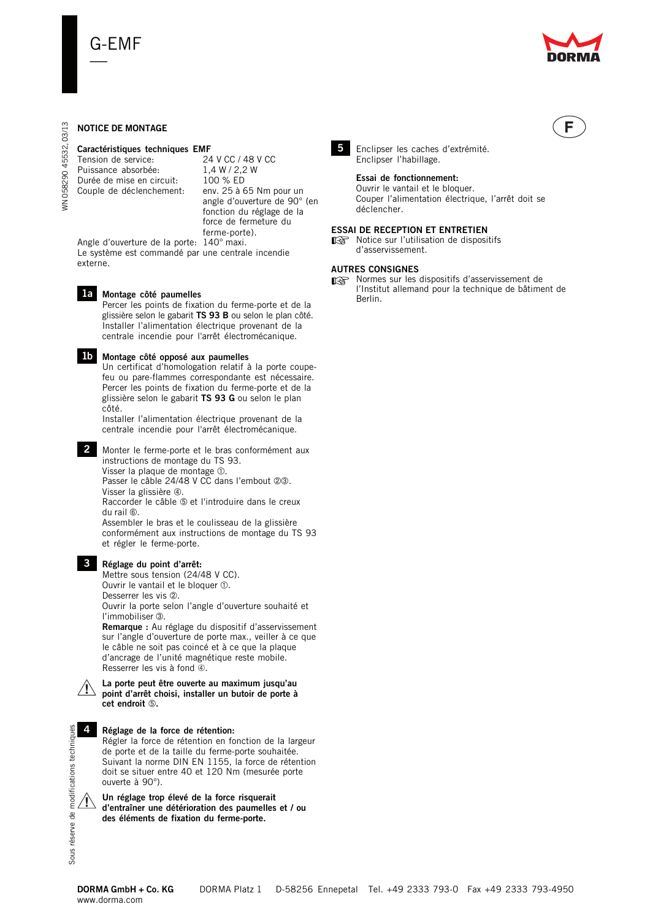

F

# **NOTICE DE MONTAGE**

# **Caractéristiques techniques EMF**<br>Tension de service: 24 V CC / 48 V CC

Tension de service: 24 V CC / 48 V<br>Puissance absorbée: 1.4 W / 2.2 W Puissance absorbée. Durée de mise en circuit: 100 % ED<br>Couple de déclenchement: env. 25 à 65 Nm pour un Couple de déclenchement:

angle d'ouverture de 90° (en fonction du réglage de la force de fermeture du ferme-porte).

Angle d'ouverture de la porte: 140° maxi. Le système est commandé par une centrale incendie externe.

#### **Montage côté paumelles 1a**

Percer les points de fixation du ferme-porte et de la glissière selon le gabarit **TS 93 B** ou selon le plan côté. Installer l'alimentation électrique provenant de la centrale incendie pour l'arrêt électromécanique.

#### **Montage côté opposé aux paumelles 1b**

Un certificat d'homologation relatif à la porte coupefeu ou pare-flammes correspondante est nécessaire. Percer les points de fixation du ferme-porte et de la glissière selon le gabarit **TS 93 G** ou selon le plan côté.

Installer l'alimentation électrique provenant de la centrale incendie pour l'arrêt électromécanique.

Monter le ferme-porte et le bras conformément aux **2** instructions de montage du TS 93. Visser la plaque de montage  $\odot$ .

Passer le câble 24/48 V CC dans l'embout 23. Visser la glissière 4.

Raccorder le câble ® et l'introduire dans le creux du rail  $\circledcirc$ . Assembler le bras et le coulisseau de la glissière

conformément aux instructions de montage du TS 93 et régler le ferme-porte.

# **Réglage du point d'arrêt: 3**

Mettre sous tension (24/48 V CC). Ouvrir le vantail et le bloquer  $\odot$ . Desserrer les vis 2.

Ouvrir la porte selon l'angle d'ouverture souhaité et l'immobiliser 3.

**Remarque :** Au réglage du dispositif d'asservissement sur l'angle d'ouverture de porte max., veiller à ce que le câble ne soit pas coincé et à ce que la plaque d'ancrage de l'unité magnétique reste mobile. Resserrer les vis à fond ➃.



# **point d'arrêt choisi, installer un butoir de porte à cet endroit .**

**La porte peut être ouverte au maximum jusqu'au**

**Réglage de la force de rétention:** Régler la force de rétention en fonction de la largeur de porte et de la taille du ferme-porte souhaitée. Suivant la norme DIN EN 1155, la force de rétention doit se situer entre 40 et 120 Nm (mesurée porte ouverte à 90°).

**Un réglage trop élevé de la force risquerait d'entraîner une détérioration des paumelles et / ou des éléments de fixation du ferme-porte.**



Enclipser les caches d'extrémité. Enclipser l'habillage.

#### **Essai de fonctionnement:**

Ouvrir le vantail et le bloquer. Couper l'alimentation électrique, l'arrêt doit se déclencher.

#### **ESSAI DE RECEPTION ET ENTRETIEN**

ESSAI DE RECEPTION ET ENTRETIEN<br>
■ Notice sur l'utilisation de dispositifs<br>
d'asservisement d'asservissement.

### **AUTRES CONSIGNES**

mes sur les dispositifs d'asservissement de l'Institut allemand nour la technique de bâtime l'Institut allemand pour la technique de bâtiment de Berlin.



WN 058290 45532, 03/13

**VN 058290** 

45532,

03/13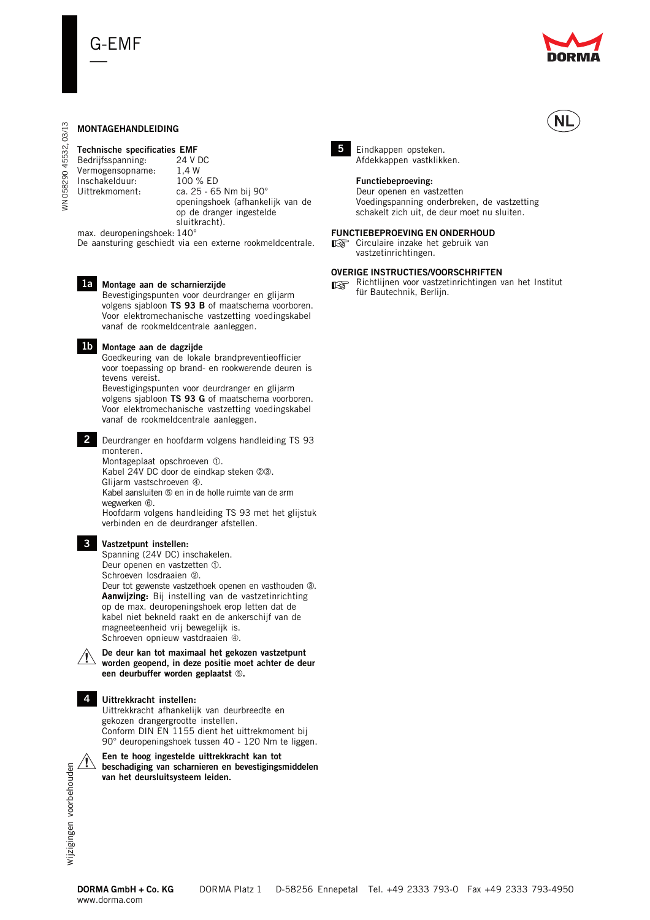

# **MONTAGEHANDLEIDING**

# **Technische specificaties EMF**<br>Bedriifsspanning: 24 V DC

Bedrijfsspanning: Vermogensopname: 1,4 W<br>Inschakelduur: 100 % ED Inschakelduur:

Uittrekmoment: ca. 25 - 65 Nm bij 90° openingshoek (afhankelijk van de op de dranger ingestelde sluitkracht).

max. deuropeningshoek: 140° De aansturing geschiedt via een externe rookmeldcentrale.



WN 058290 45532, 03/13

**VN 058290** 

45532,

03/13

**Montage aan de scharnierzijde 1a**

Bevestigingspunten voor deurdranger en glijarm volgens sjabloon **TS 93 B** of maatschema voorboren. Voor elektromechanische vastzetting voedingskabel vanaf de rookmeldcentrale aanleggen.

### **Montage aan de dagzijde 1b**

Goedkeuring van de lokale brandpreventieofficier voor toepassing op brand- en rookwerende deuren is tevens vereist. Bevestigingspunten voor deurdranger en glijarm

volgens sjabloon **TS 93 G** of maatschema voorboren. Voor elektromechanische vastzetting voedingskabel vanaf de rookmeldcentrale aanleggen.

Deurdranger en hoofdarm volgens handleiding TS 93 **2** monteren. Montageplaat opschroeven  $\Phi$ . Kabel 24V DC door de eindkap steken 23. Glijarm vastschroeven 4. Kabel aansluiten 5 en in de holle ruimte van de arm wegwerken  $6$ . Hoofdarm volgens handleiding TS 93 met het glijstuk verbinden en de deurdranger afstellen.

# **Vastzetpunt instellen: 3**

Spanning (24V DC) inschakelen. Deur openen en vastzetten 1. Schroeven losdraaien 2. Deur tot gewenste vastzethoek openen en vasthouden 3. Aanwijzing: Bij instelling van de vastzetinrichting op de max. deuropeningshoek erop letten dat de kabel niet bekneld raakt en de ankerschijf van de magneeteenheid vrij bewegelijk is. Schroeven opnieuw vastdraaien ➃.

**De deur kan tot maximaal het gekozen vastzetpunt worden geopend, in deze positie moet achter de deur een deurbuffer worden geplaatst .**

### **Uittrekkracht instellen: 4**

Uittrekkracht afhankelijk van deurbreedte en gekozen drangergrootte instellen. Conform DIN EN 1155 dient het uittrekmoment bij 90° deuropeningshoek tussen 40 - 120 Nm te liggen.

**Een te hoog ingestelde uittrekkracht kan tot beschadiging van scharnieren en bevestigingsmiddelen van het deursluitsysteem leiden.**



5 Eindkappen opsteken. Afdekkappen vastklikken.

# **Functiebeproeving:**

Deur openen en vastzetten Voedingspanning onderbreken, de vastzetting schakelt zich uit, de deur moet nu sluiten.

#### **FUNCTIEBEPROEVING EN ONDERHOUD**

T⊛ Circulaire inzake het gebruik van vastzetinrichtingen.

### **OVERIGE INSTRUCTIES/VOORSCHRIFTEN**

■ Richtlijnen voor vastzetinrichtingen van het Institut<br>für Bautechnik, Berliin. für Bautechnik, Berlijn.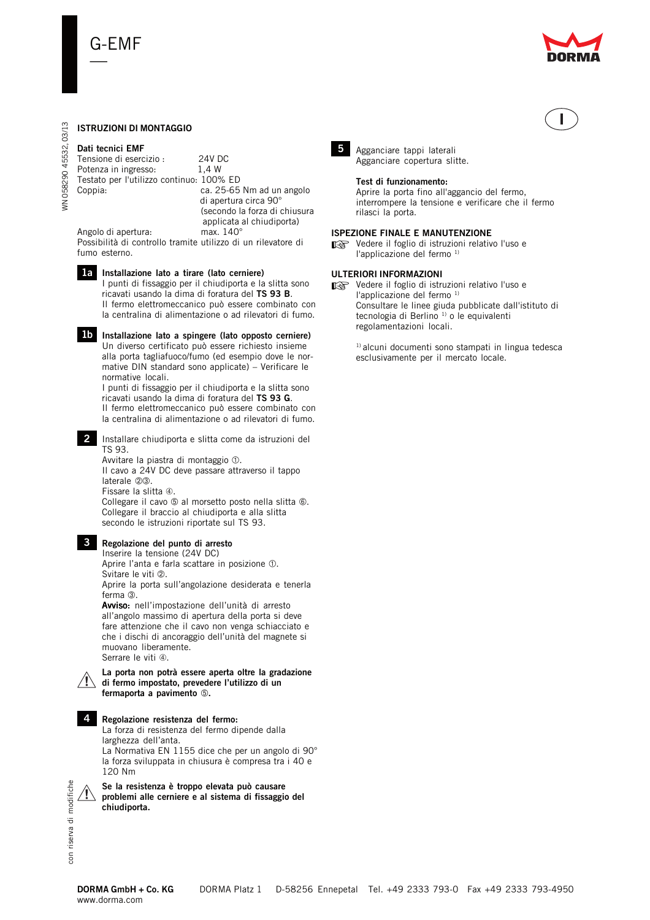

# **ISTRUZIONI DI MONTAGGIO**

# **Dati tecnici EMF**

WN 058290 45532, 03/13

WN 058290 45532, 03/13

| Tensione di esercizio:                   | 24V DC                        |
|------------------------------------------|-------------------------------|
| Potenza in ingresso:                     | 1.4 W                         |
| Testato per l'utilizzo continuo: 100% ED |                               |
| Coppia:                                  | ca. 25-65 Nm ad un angolo     |
|                                          | di apertura circa 90°         |
|                                          | (secondo la forza di chiusura |
|                                          | applicata al chiudiporta)     |
| Angolo di apertura:                      | max. $140^\circ$              |

Possibilità di controllo tramite utilizzo di un rilevatore di fumo esterno.

#### **Installazione lato a tirare (lato cerniere) 1a** I punti di fissaggio per il chiudiporta e la slitta sono ricavati usando la dima di foratura del **TS 93 B**. Il fermo elettromeccanico può essere combinato con la centralina di alimentazione o ad rilevatori di fumo.

**Installazione lato a spingere (lato opposto cerniere) 1b** Un diverso certificato può essere richiesto insieme alla porta tagliafuoco/fumo (ed esempio dove le normative DIN standard sono applicate) – Verificare le normative locali.

I punti di fissaggio per il chiudiporta e la slitta sono ricavati usando la dima di foratura del **TS 93 G**. Il fermo elettromeccanico può essere combinato con la centralina di alimentazione o ad rilevatori di fumo.

2 Installare chiudiporta e slitta come da istruzioni del TS 93.

Avvitare la piastra di montaggio  $\odot$ . Il cavo a 24V DC deve passare attraverso il tappo laterale 23. Fissare la slitta ➃. Collegare il cavo  $\circledcirc$  al morsetto posto nella slitta  $\circledcirc$ .

Collegare il braccio al chiudiporta e alla slitta secondo le istruzioni riportate sul TS 93.

# **Regolazione del punto di arresto 3**

Inserire la tensione (24V DC) Aprire l'anta e farla scattare in posizione  $\mathbb O$ . Svitare le viti 2

Aprire la porta sull'angolazione desiderata e tenerla ferma 3.

Avviso: nell'impostazione dell'unità di arresto all'angolo massimo di apertura della porta si deve fare attenzione che il cavo non venga schiacciato e che i dischi di ancoraggio dell'unità del magnete si muovano liberamente. Serrare le viti 4.

#### **La porta non potrà essere aperta oltre la gradazione di fermo impostato, prevedere l'utilizzo di un fermaporta a pavimento .**

# **Regolazione resistenza del fermo: 4**

La forza di resistenza del fermo dipende dalla larghezza dell'anta. La Normativa EN 1155 dice che per un angolo di 90° la forza sviluppata in chiusura è compresa tra i 40 e 120 Nm

**Se la resistenza è troppo elevata può causare problemi alle cerniere e al sistema di fissaggio del chiudiporta.**



Agganciare tappi laterali **5**Agganciare copertura slitte.

# **Test di funzionamento:**

Aprire la porta fino all'aggancio del fermo, interrompere la tensione e verificare che il fermo rilasci la porta.

# **ISPEZIONE FINALE E MANUTENZIONE**

STERIORE I INALE E MARO LENZIONE<br>■ Vedere il foglio di istruzioni relativo l'uso e<br>"applicazione del formo <sup>1)</sup> l'applicazione del fermo 1)

# **ULTERIORI INFORMAZIONI**

ישראליבודו היא היא בישראלי באיים של ישראלי באיים של ישראלי באיים של ישראלי בא<br>ישראלי פון interval istruzioni relativo l'uso e l'applicazione del fermo 1) Consultare le linee giuda pubblicate dall'istituto di tecnologia di Berlino<sup>1)</sup> o le equivalenti regolamentazioni locali.

> <sup>1)</sup> alcuni documenti sono stampati in lingua tedesca esclusivamente per il mercato locale.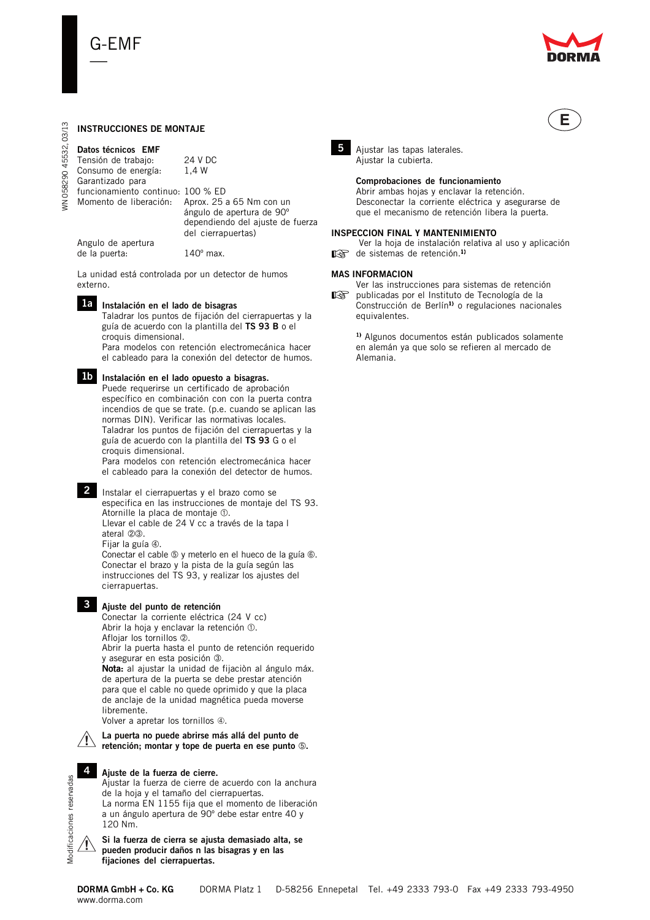

**E**

# **INSTRUCCIONES DE MONTAJE**

**Datos técnicos EMF** Tensión de trabajo: 24 V DC Consumo de energía: 1,4 W Garantizado para funcionamiento continuo: 100 % ED Momento de liberación: Aprox. 25 a 65 Nm con un ángulo de apertura de 90º dependiendo del ajuste de fuerza del cierrapuertas) Angulo de apertura de la puerta: 140º max.

La unidad está controlada por un detector de humos externo.



**Instalación en el lado de bisagras 1a**

Taladrar los puntos de fijación del cierrapuertas y la guía de acuerdo con la plantilla del **TS 93 B** o el croquis dimensional. Para modelos con retención electromecánica hacer

el cableado para la conexión del detector de humos.

# **Instalación en el lado opuesto a bisagras. 1b**

Puede requerirse un certificado de aprobación específico en combinación con con la puerta contra incendios de que se trate. (p.e. cuando se aplican las normas DIN). Verificar las normativas locales. Taladrar los puntos de fijación del cierrapuertas y la guía de acuerdo con la plantilla del **TS 93** G o el croquis dimensional.

Para modelos con retención electromecánica hacer el cableado para la conexión del detector de humos.

2 Instalar el cierrapuertas y el brazo como se especifica en las instrucciones de montaje del TS 93. Atornille la placa de montaje  $\Phi$ . Llevar el cable de 24 V cc a través de la tapa l ateral 23.

Fijar la guía 4.

Conectar el cable  $\circledast$  y meterlo en el hueco de la guía  $\circledast$ . Conectar el brazo y la pista de la guía según las instrucciones del TS 93, y realizar los ajustes del cierrapuertas.



# **Ajuste del punto de retención 3**

Conectar la corriente eléctrica (24 V cc) Abrir la hoja y enclavar la retención  $\mathbb O$ . Aflojar los tornillos 2. Abrir la puerta hasta el punto de retención requerido y asegurar en esta posición 3. Nota: al ajustar la unidad de fijaciòn al ángulo máx. de apertura de la puerta se debe prestar atención para que el cable no quede oprimido y que la placa de anclaje de la unidad magnética pueda moverse

libremente. Volver a apretar los tornillos ➃.



**La puerta no puede abrirse más allá del punto de retención; montar y tope de puerta en ese punto .**

# **Ajuste de la fuerza de cierre.**

Ajustar la fuerza de cierre de acuerdo con la anchura de la hoja y el tamaño del cierrapuertas. La norma EN 1155 fija que el momento de liberación a un ángulo apertura de 90º debe estar entre 40 y 120 Nm.



**4**

**Si la fuerza de cierra se ajusta demasiado alta, se pueden producir daños n las bisagras y en las fijaciones del cierrapuertas.**



5 Ajustar las tapas laterales. Ajustar la cubierta.

> **Comprobaciones de funcionamiento** Abrir ambas hojas y enclavar la retención. Desconectar la corriente eléctrica y asegurarse de que el mecanismo de retención libera la puerta.

# **INSPECCION FINAL Y MANTENIMIENTO**

Ver la hoja de instalación relativa al uso y aplicación

☞ de sistemas de retención.1)

# **MAS INFORMACION**

Ver las instrucciones para sistemas de retención

☞ publicadas por el Instituto de Tecnología de la Construcción de Berlín<sup>1</sup> o regulaciones nacionales equivalentes.

> 1) Algunos documentos están publicados solamente en alemán ya que solo se refieren al mercado de Alemania.

03/13 WN 058290 45532, 03/13 45532, **VN 058290**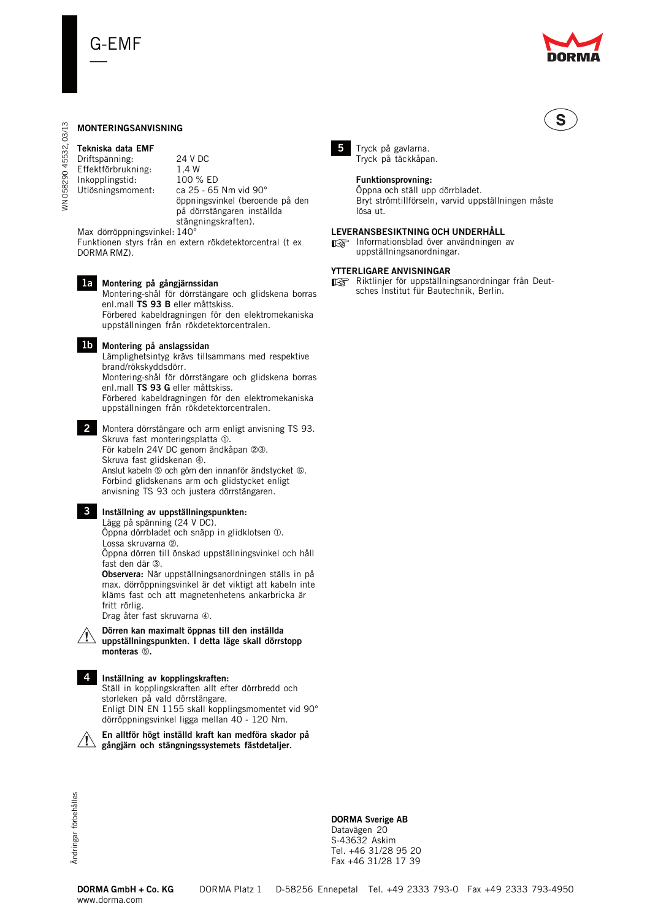

# **MONTERINGSANVISNING**

# **Tekniska data EMF** Driftspänning: 24 V DC<br>Effektförbrukning: 1.4 W Effektförbrukning: Inkopplingstid: 100 % ED<br>Utlösningsmoment: ca 25 - 65

WN 058290 45532, 03/13

**VN 058290** 

45532,

03/13

ca 25 - 65 Nm vid 90° öppningsvinkel (beroende på den på dörrstängaren inställda stängningskraften).

Max dörröppningsvinkel: 140° Funktionen styrs från en extern rökdetektorcentral (t ex DORMA RMZ).



Montering-shål för dörrstängare och glidskena borras enl.mall **TS 93 B** eller måttskiss. Förbered kabeldragningen för den elektromekaniska uppställningen från rökdetektorcentralen.

**Montering på anslagssidan 1b**

Lämplighetsintyg krävs tillsammans med respektive brand/rökskyddsdörr.

Montering-shål för dörrstängare och glidskena borras enl.mall **TS 93 G** eller måttskiss.

Förbered kabeldragningen för den elektromekaniska uppställningen från rökdetektorcentralen.

Montera dörrstängare och arm enligt anvisning TS 93. **2** Skruva fast monteringsplatta 1. För kabeln 24V DC genom ändkåpan 23. Skruva fast glidskenan  $@.$ Anslut kabeln ® och göm den innanför ändstycket ®. Förbind glidskenans arm och glidstycket enligt anvisning TS 93 och justera dörrstängaren.

# **Inställning av uppställningspunkten: 3**

Lägg på spänning (24 V DC). Öppna dörrbladet och snäpp in glidklotsen . Lossa skruvarna 2.

Öppna dörren till önskad uppställningsvinkel och håll fast den där 3.

**Observera:** När uppställningsanordningen ställs in på max. dörröppningsvinkel är det viktigt att kabeln inte kläms fast och att magnetenhetens ankarbricka är fritt rörlig.

Drag åter fast skruvarna ➃.



**Dörren kan maximalt öppnas till den inställda uppställningspunkten. I detta läge skall dörrstopp monteras .**



# **Inställning av kopplingskraften: 4**

Ställ in kopplingskraften allt efter dörrbredd och storleken på vald dörrstängare. Enligt DIN EN 1155 skall kopplingsmomentet vid 90° dörröppningsvinkel ligga mellan 40 - 120 Nm.





# **DORMA Sverige AB**

Datavägen 20 S-43632 Askim Tel. +46 31/28 95 20 Fax +46 31/28 17 39



Tryck på gavlarna. Tryck på täckkåpan.

**5**

### **Funktionsprovning:**

Öppna och ställ upp dörrbladet. Bryt strömtillförseln, varvid uppställningen måste lösa ut.

### **LEVERANSBESIKTNING OCH UNDERHÅLL**

ELLENGTROMATIONSBLAD OVER ANVÄNDINGEN AV UNDER AVENUEFNATELY<br>
INFORMATION IN ENGINEERINGEN AV UNDER AVENUEFNATELY<br>
INFORMATION IN ENGINEERINGEN AV UNDER AVENUEFNATELY uppställningsanordningar.

# **YTTERLIGARE ANVISNINGAR**

THE START FOR UPPSTÄLLEN ER UPPSTÄLLEN ER EN DEUT-<br>
■ Riktlinjer för uppställningsanordningar från Deut-<br>
sches Institut für Bautechnik Berlin sches Institut für Bautechnik, Berlin.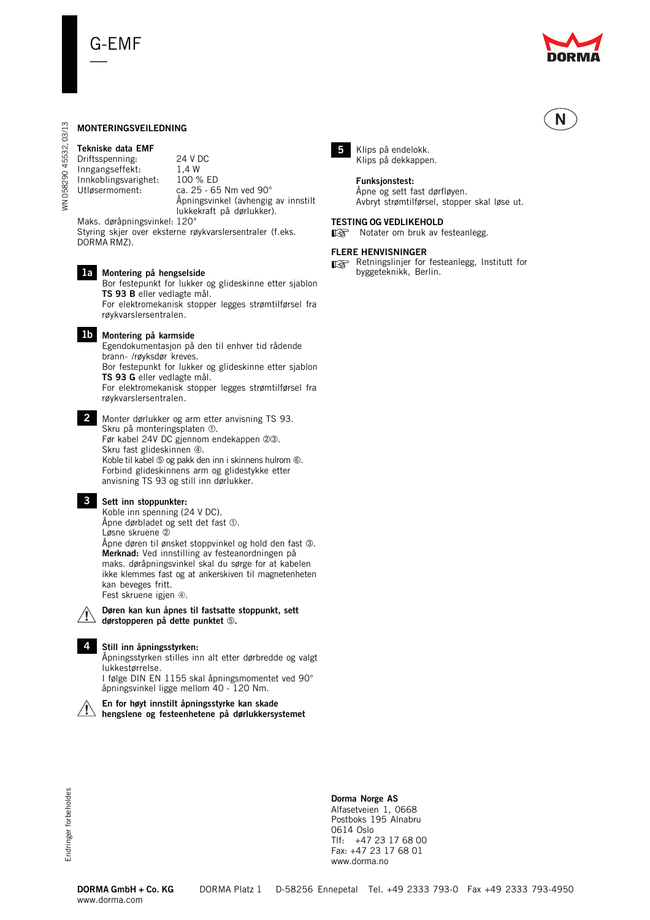

N

# **MONTERINGSVEILEDNING**

# **Tekniske data EMF**

WN 058290 45532, 03/13

**WN 058290** 

45532,

03/13

Driftsspenning: 24 V DC<br>Inngangseffekt: 1.4 W Inngangseffekt: Innkoblingsvarighet: 100 % ED Utløsermoment: ca. 25 - 65 Nm ved 90°

Åpningsvinkel (avhengig av innstilt

lukkekraft på dørlukker).

Maks. døråpningsvinkel: 120° Styring skjer over eksterne røykvarslersentraler (f.eks. DORMA RMZ).

#### **Montering på hengselside 1a**

Bor festepunkt for lukker og glideskinne etter sjablon **TS 93 B** eller vedlagte mål.

For elektromekanisk stopper legges strømtilførsel fra røykvarslersentralen.



# **Montering på karmside 1b**

Egendokumentasjon på den til enhver tid rådende brann- /røyksdør kreves.

Bor festepunkt for lukker og glideskinne etter sjablon **TS 93 G** eller vedlagte mål.

For elektromekanisk stopper legges strømtilførsel fra røykvarslersentralen.

Monter dørlukker og arm etter anvisning TS 93. **2** Skru på monteringsplaten  $\Phi$ . Før kabel 24V DC gjennom endekappen 23. Skru fast glideskinnen 4. Koble til kabel  $\circledS$  og pakk den inn i skinnens hulrom  $\circledS$ . Forbind glideskinnens arm og glidestykke etter

anvisning TS 93 og still inn dørlukker.



#### **Sett inn stoppunkter: 3**

Koble inn spenning (24 V DC). Åpne dørbladet og sett det fast  $\mathbb O.$ Løsne skruene Åpne døren til ønsket stoppvinkel og hold den fast 3. **Merknad:** Ved innstilling av festeanordningen på maks. døråpningsvinkel skal du sørge for at kabelen ikke klemmes fast og at ankerskiven til magnetenheten kan beveges fritt. Fest skruene igjen ➃.



#### **Døren kan kun åpnes til fastsatte stoppunkt, sett**

**dørstopperen på dette punktet .**

### **Still inn åpningsstyrken: 4**

Åpningsstyrken stilles inn alt etter dørbredde og valgt lukkestørrelse.

I følge DIN EN 1155 skal åpningsmomentet ved 90° åpningsvinkel ligge mellom 40 - 120 Nm.



# **En for høyt innstilt åpningsstyrke kan skade**

**hengslene og festeenhetene på dørlukkersystemet**



Klips på endelokk. Klips på dekkappen.

#### **Funksjonstest:**

Åpne og sett fast dørfløyen. Avbryt strømtilførsel, stopper skal løse ut.

### **TESTING OG VEDLIKEHOLD**

**ESTING OG VEDEIKETIOLD**<br>
Se Notater om bruk av festeanlegg.

#### **FLERE HENVISNINGER**

☞ Retningslinjer for festeanlegg, Institutt for byggeteknikk, Berlin.

Endringer forbeholdes Endringer forbeholdes

**Dorma Norge AS** Alfasetveien 1, 0668 Postboks 195 Alnabru 0614 Oslo Tlf: +47 23 17 68 00 Fax: +47 23 17 68 01 www.dorma.no

www.dorma.com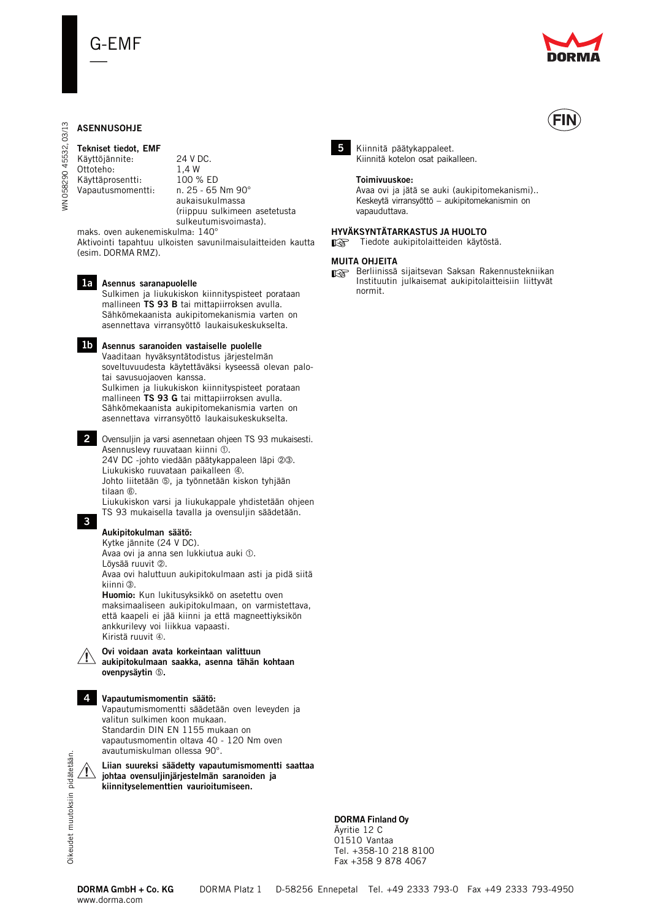

# **ASENNUSOHJE**

WN 058290 45532, 03/13

**VN 058290** 

45532,

03/13

# **Tekniset tiedot, EMF**

Käyttöjännite: 24 V DC.<br>Ottoteho: 1.4 W Ottoteho: Käyttäprosentti: 100 % ED<br>Vapautusmomentti: n. 25 - 65 Nm 90° Vapautusmomentti:

aukaisukulmassa (riippuu sulkimeen asetetusta sulkeutumisvoimasta).

maks. oven aukenemiskulma: 140° Aktivointi tapahtuu ulkoisten savunilmaisulaitteiden kautta (esim. DORMA RMZ).

# **Asennus saranapuolelle 1a**

Sulkimen ja liukukiskon kiinnityspisteet porataan mallineen **TS 93 B** tai mittapiirroksen avulla. Sähkömekaanista aukipitomekanismia varten on asennettava virransyöttö laukaisukeskukselta.

#### **Asennus saranoiden vastaiselle puolelle 1b**

Vaaditaan hyväksyntätodistus järjestelmän soveltuvuudesta käytettäväksi kyseessä olevan palotai savusuojaoven kanssa. Sulkimen ja liukukiskon kiinnityspisteet porataan mallineen **TS 93 G** tai mittapiirroksen avulla. Sähkömekaanista aukipitomekanismia varten on asennettava virransyöttö laukaisukeskukselta.

Ovensuljin ja varsi asennetaan ohjeen TS 93 mukaisesti. **2** Asennuslevy ruuvataan kiinni 1. 24V DC -johto viedään päätykappaleen läpi 23. Liukukisko ruuvataan paikalleen 4. Johto liitetään ®, ja työnnetään kiskon tyhjään tilaan  $6$ .

Liukukiskon varsi ja liukukappale yhdistetään ohjeen TS 93 mukaisella tavalla ja ovensuljin säädetään.

# **Aukipitokulman säätö:**

**3**

Kytke jännite (24 V DC). Avaa ovi ja anna sen lukkiutua auki  $\Phi$ . Löysää ruuvit 2 Avaa ovi haluttuun aukipitokulmaan asti ja pidä siitä kiinni 3. **Huomio:** Kun lukitusyksikkö on asetettu oven maksimaaliseen aukipitokulmaan, on varmistettava, että kaapeli ei jää kiinni ja että magneettiyksikön



**aukipitokulmaan saakka, asenna tähän kohtaan ovenpysäytin .**

# **Vapautumismomentin säätö: 4**

Vapautumismomentti säädetään oven leveyden ja valitun sulkimen koon mukaan. Standardin DIN EN 1155 mukaan on vapautusmomentin oltava 40 - 120 Nm oven avautumiskulman ollessa 90°.

**Liian suureksi säädetty vapautumismomentti saattaa**  $\sqrt{1}$ **johtaa ovensuljinjärjestelmän saranoiden ja kiinnityselementtien vaurioitumiseen.**

# **DORMA Finland Oy**

Äyritie 12 C 01510 Vantaa Tel. +358-10 218 8100 Fax +358 9 878 4067



5 Kiinnitä päätykappaleet. Kiinnitä kotelon osat paikalleen.

**HYVÄKSYNTÄTARKASTUS JA HUOLTO**

#### **Toimivuuskoe:**

Avaa ovi ja jätä se auki (aukipitomekanismi).. Keskeytä virransyöttö – aukipitomekanismin on vapauduttava.

# ☞ Tiedote aukipitolaitteiden käytöstä.

### **MUITA OHJEITA**

☞ Berliinissä sijaitsevan Saksan Rakennustekniikan Instituutin julkaisemat aukipitolaitteisiin liittyvät normit.